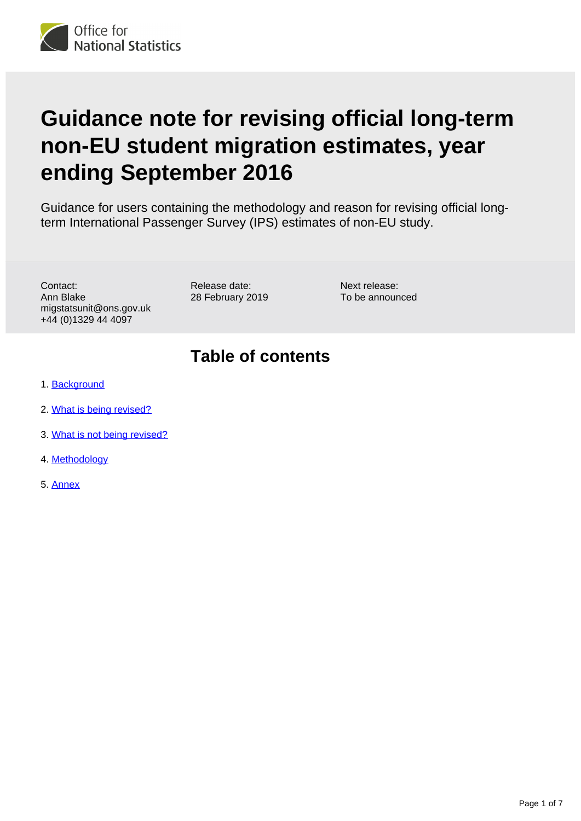

# **Guidance note for revising official long-term non-EU student migration estimates, year ending September 2016**

Guidance for users containing the methodology and reason for revising official longterm International Passenger Survey (IPS) estimates of non-EU study.

Contact: Ann Blake migstatsunit@ons.gov.uk +44 (0)1329 44 4097

Release date: 28 February 2019 Next release: To be announced

### **Table of contents**

- 1. [Background](#page-1-0)
- 2. [What is being revised?](#page-1-1)
- 3. [What is not being revised?](#page-3-0)
- 4. [Methodology](#page-5-0)
- 5. [Annex](#page-6-0)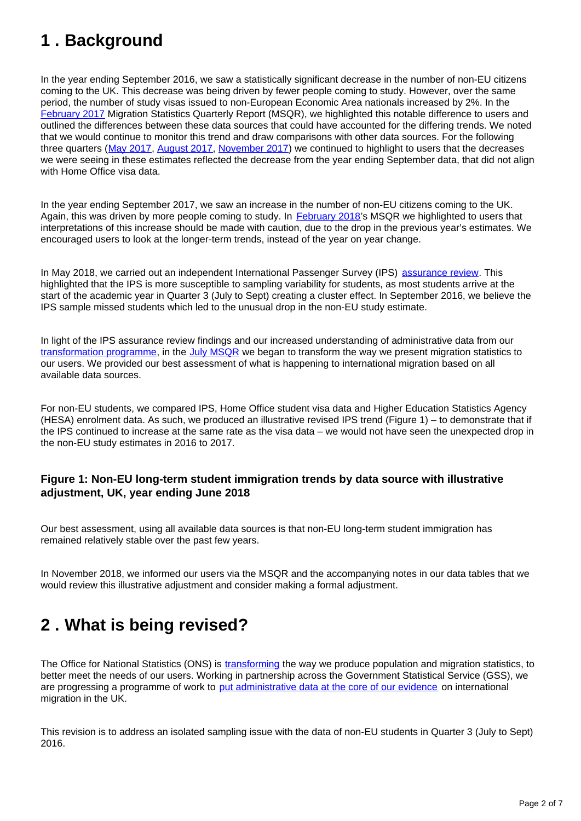## <span id="page-1-0"></span>**1 . Background**

In the year ending September 2016, we saw a statistically significant decrease in the number of non-EU citizens coming to the UK. This decrease was being driven by fewer people coming to study. However, over the same period, the number of study visas issued to non-European Economic Area nationals increased by 2%. In the [February 2017](https://www.ons.gov.uk/peoplepopulationandcommunity/populationandmigration/internationalmigration/bulletins/migrationstatisticsquarterlyreport/feb2017) Migration Statistics Quarterly Report (MSQR), we highlighted this notable difference to users and outlined the differences between these data sources that could have accounted for the differing trends. We noted that we would continue to monitor this trend and draw comparisons with other data sources. For the following three quarters ([May 2017,](https://www.ons.gov.uk/peoplepopulationandcommunity/populationandmigration/internationalmigration/bulletins/migrationstatisticsquarterlyreport/may2017) [August 2017](https://www.ons.gov.uk/peoplepopulationandcommunity/populationandmigration/internationalmigration/bulletins/migrationstatisticsquarterlyreport/august2017), [November 2017\)](https://www.ons.gov.uk/peoplepopulationandcommunity/populationandmigration/internationalmigration/bulletins/migrationstatisticsquarterlyreport/november2017) we continued to highlight to users that the decreases we were seeing in these estimates reflected the decrease from the year ending September data, that did not align with Home Office visa data.

In the year ending September 2017, we saw an increase in the number of non-EU citizens coming to the UK. Again, this was driven by more people coming to study. In [February 2018'](https://www.ons.gov.uk/peoplepopulationandcommunity/populationandmigration/internationalmigration/bulletins/migrationstatisticsquarterlyreport/february2018)s MSQR we highlighted to users that interpretations of this increase should be made with caution, due to the drop in the previous year's estimates. We encouraged users to look at the longer-term trends, instead of the year on year change.

In May 2018, we carried out an independent International Passenger Survey (IPS) [assurance review.](https://www.ons.gov.uk/peoplepopulationandcommunity/populationandmigration/internationalmigration/articles/reportonthecomplexityandqualityofinternationalmigrationstatistics/july2018) This highlighted that the IPS is more susceptible to sampling variability for students, as most students arrive at the start of the academic year in Quarter 3 (July to Sept) creating a cluster effect. In September 2016, we believe the IPS sample missed students which led to the unusual drop in the non-EU study estimate.

In light of the IPS assurance review findings and our increased understanding of administrative data from our [transformation programme,](https://www.ons.gov.uk/peoplepopulationandcommunity/populationandmigration/internationalmigration/articles/migrationstatisticstransformationupdate/2018-05-24) in the [July MSQR](https://www.ons.gov.uk/peoplepopulationandcommunity/populationandmigration/internationalmigration/bulletins/migrationstatisticsquarterlyreport/july2018revisedfrommaycoveringtheperiodtodecember2017) we began to transform the way we present migration statistics to our users. We provided our best assessment of what is happening to international migration based on all available data sources.

For non-EU students, we compared IPS, Home Office student visa data and Higher Education Statistics Agency (HESA) enrolment data. As such, we produced an illustrative revised IPS trend (Figure 1) – to demonstrate that if the IPS continued to increase at the same rate as the visa data – we would not have seen the unexpected drop in the non-EU study estimates in 2016 to 2017.

### **Figure 1: Non-EU long-term student immigration trends by data source with illustrative adjustment, UK, year ending June 2018**

Our best assessment, using all available data sources is that non-EU long-term student immigration has remained relatively stable over the past few years.

In November 2018, we informed our users via the MSQR and the accompanying notes in our data tables that we would review this illustrative adjustment and consider making a formal adjustment.

### <span id="page-1-1"></span>**2 . What is being revised?**

The Office for National Statistics (ONS) is [transforming](https://www.ons.gov.uk/peoplepopulationandcommunity/populationandmigration/internationalmigration/articles/migrationstatisticstransformationupdate/2018-05-24) the way we produce population and migration statistics, to better meet the needs of our users. Working in partnership across the Government Statistical Service (GSS), we are progressing a programme of work to [put administrative data at the core of our evidence](https://www.ons.gov.uk/peoplepopulationandcommunity/populationandmigration/internationalmigration/articles/updateonourpopulationandmigrationstatisticstransformationjourneyaresearchengagementreport/2019-01-30) on international migration in the UK.

This revision is to address an isolated sampling issue with the data of non-EU students in Quarter 3 (July to Sept) 2016.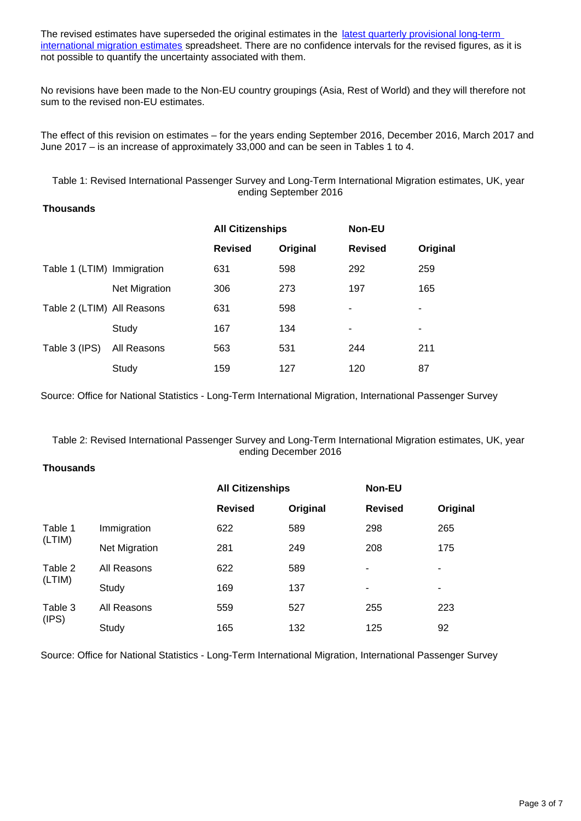The revised estimates have superseded the original estimates in the latest quarterly provisional long-term [international migration estimates](https://www.ons.gov.uk/peoplepopulationandcommunity/populationandmigration/internationalmigration/datasets/migrationstatisticsquarterlyreportprovisionallongterminternationalmigrationltimestimates) spreadsheet. There are no confidence intervals for the revised figures, as it is not possible to quantify the uncertainty associated with them.

No revisions have been made to the Non-EU country groupings (Asia, Rest of World) and they will therefore not sum to the revised non-EU estimates.

The effect of this revision on estimates – for the years ending September 2016, December 2016, March 2017 and June 2017 – is an increase of approximately 33,000 and can be seen in Tables 1 to 4.

Table 1: Revised International Passenger Survey and Long-Term International Migration estimates, UK, year ending September 2016

### **Thousands**

|                            |                      | <b>All Citizenships</b> |          | <b>Non-EU</b>  |          |
|----------------------------|----------------------|-------------------------|----------|----------------|----------|
|                            |                      | <b>Revised</b>          | Original | <b>Revised</b> | Original |
| Table 1 (LTIM) Immigration |                      | 631                     | 598      | 292            | 259      |
|                            | <b>Net Migration</b> | 306                     | 273      | 197            | 165      |
| Table 2 (LTIM) All Reasons |                      | 631                     | 598      | ۰              | ۰        |
|                            | Study                | 167                     | 134      | ۰              | ۰        |
| Table 3 (IPS)              | All Reasons          | 563                     | 531      | 244            | 211      |
|                            | Study                | 159                     | 127      | 120            | 87       |

Source: Office for National Statistics - Long-Term International Migration, International Passenger Survey

Table 2: Revised International Passenger Survey and Long-Term International Migration estimates, UK, year ending December 2016

#### **Thousands**

|                   |               |                | <b>All Citizenships</b> |                | <b>Non-EU</b> |  |
|-------------------|---------------|----------------|-------------------------|----------------|---------------|--|
|                   |               | <b>Revised</b> | Original                | <b>Revised</b> | Original      |  |
| Table 1<br>(LTIM) | Immigration   | 622            | 589                     | 298            | 265           |  |
|                   | Net Migration | 281            | 249                     | 208            | 175           |  |
| Table 2<br>(LTIM) | All Reasons   | 622            | 589                     | ۰              | ۰             |  |
|                   | Study         | 169            | 137                     | ۰              | ۰             |  |
| Table 3<br>(IPS)  | All Reasons   | 559            | 527                     | 255            | 223           |  |
|                   | Study         | 165            | 132                     | 125            | 92            |  |

Source: Office for National Statistics - Long-Term International Migration, International Passenger Survey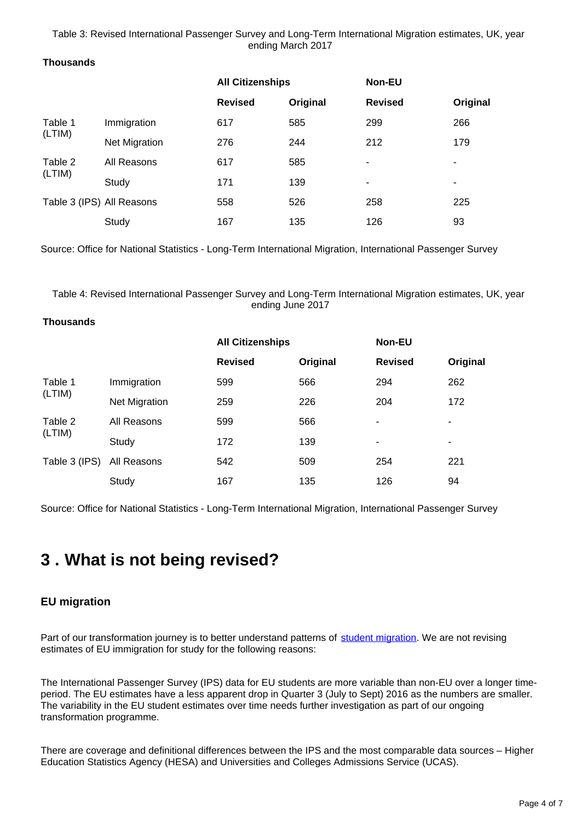Table 3: Revised International Passenger Survey and Long-Term International Migration estimates, UK, year ending March 2017

#### **Thousands**

|                   |                           |                | <b>All Citizenships</b> |                | Non-EU   |  |
|-------------------|---------------------------|----------------|-------------------------|----------------|----------|--|
|                   |                           | <b>Revised</b> | Original                | <b>Revised</b> | Original |  |
| Table 1<br>(LTIM) | Immigration               | 617            | 585                     | 299            | 266      |  |
|                   | <b>Net Migration</b>      | 276            | 244                     | 212            | 179      |  |
| Table 2<br>(LTIM) | All Reasons               | 617            | 585                     | $\blacksquare$ | ۰        |  |
|                   | Study                     | 171            | 139                     | ۰              | ۰        |  |
|                   | Table 3 (IPS) All Reasons | 558            | 526                     | 258            | 225      |  |
|                   | Study                     | 167            | 135                     | 126            | 93       |  |

Source: Office for National Statistics - Long-Term International Migration, International Passenger Survey

Table 4: Revised International Passenger Survey and Long-Term International Migration estimates, UK, year ending June 2017

#### **Thousands**

|                   |                      | <b>All Citizenships</b> |          | <b>Non-EU</b>  |          |
|-------------------|----------------------|-------------------------|----------|----------------|----------|
|                   |                      | <b>Revised</b>          | Original | <b>Revised</b> | Original |
| Table 1<br>(LTIM) | Immigration          | 599                     | 566      | 294            | 262      |
|                   | <b>Net Migration</b> | 259                     | 226      | 204            | 172      |
| Table 2<br>(LTIM) | All Reasons          | 599                     | 566      | ٠              | ٠        |
|                   | Study                | 172                     | 139      | ٠              | ٠        |
| Table 3 (IPS)     | All Reasons          | 542                     | 509      | 254            | 221      |
|                   | Study                | 167                     | 135      | 126            | 94       |

Source: Office for National Statistics - Long-Term International Migration, International Passenger Survey

### <span id="page-3-0"></span>**3 . What is not being revised?**

### **EU migration**

Part of our transformation journey is to better understand patterns of [student migration.](https://www.ons.gov.uk/peoplepopulationandcommunity/populationandmigration/internationalmigration/articles/internationalstudentmigrationresearchupdate/august2017) We are not revising estimates of EU immigration for study for the following reasons:

The International Passenger Survey (IPS) data for EU students are more variable than non-EU over a longer timeperiod. The EU estimates have a less apparent drop in Quarter 3 (July to Sept) 2016 as the numbers are smaller. The variability in the EU student estimates over time needs further investigation as part of our ongoing transformation programme.

There are coverage and definitional differences between the IPS and the most comparable data sources – Higher Education Statistics Agency (HESA) and Universities and Colleges Admissions Service (UCAS).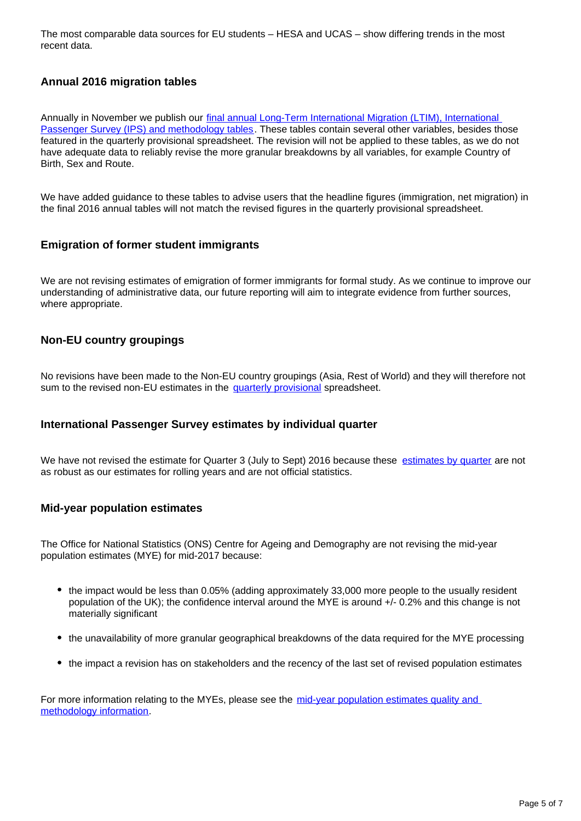The most comparable data sources for EU students – HESA and UCAS – show differing trends in the most recent data.

### **Annual 2016 migration tables**

Annually in November we publish our [final annual Long-Term International Migration \(LTIM\), International](https://www.ons.gov.uk/peoplepopulationandcommunity/populationandmigration/internationalmigration/datasets/tableofcontents)  [Passenger Survey \(IPS\) and methodology tables.](https://www.ons.gov.uk/peoplepopulationandcommunity/populationandmigration/internationalmigration/datasets/tableofcontents) These tables contain several other variables, besides those featured in the quarterly provisional spreadsheet. The revision will not be applied to these tables, as we do not have adequate data to reliably revise the more granular breakdowns by all variables, for example Country of Birth, Sex and Route.

We have added guidance to these tables to advise users that the headline figures (immigration, net migration) in the final 2016 annual tables will not match the revised figures in the quarterly provisional spreadsheet.

### **Emigration of former student immigrants**

We are not revising estimates of emigration of former immigrants for formal study. As we continue to improve our understanding of administrative data, our future reporting will aim to integrate evidence from further sources, where appropriate.

### **Non-EU country groupings**

No revisions have been made to the Non-EU country groupings (Asia, Rest of World) and they will therefore not sum to the revised non-EU estimates in the [quarterly provisional](https://www.ons.gov.uk/peoplepopulationandcommunity/populationandmigration/internationalmigration/datasets/migrationstatisticsquarterlyreportprovisionallongterminternationalmigrationltimestimates) spreadsheet.

#### **International Passenger Survey estimates by individual quarter**

We have not revised the estimate for Quarter 3 (July to Sept) 2016 because these [estimates by quarter](https://www.ons.gov.uk/peoplepopulationandcommunity/populationandmigration/internationalmigration/datasets/estimatesoflongterminternationalmigrationbyquarterderivedfromtheinternationalpassengersurvey) are not as robust as our estimates for rolling years and are not official statistics.

### **Mid-year population estimates**

The Office for National Statistics (ONS) Centre for Ageing and Demography are not revising the mid-year population estimates (MYE) for mid-2017 because:

- the impact would be less than 0.05% (adding approximately 33,000 more people to the usually resident population of the UK); the confidence interval around the MYE is around +/- 0.2% and this change is not materially significant
- the unavailability of more granular geographical breakdowns of the data required for the MYE processing
- the impact a revision has on stakeholders and the recency of the last set of revised population estimates

For more information relating to the MYEs, please see the mid-year population estimates quality and [methodology information](https://www.ons.gov.uk/peoplepopulationandcommunity/populationandmigration/populationestimates/methodologies/annualmidyearpopulationestimatesqmi).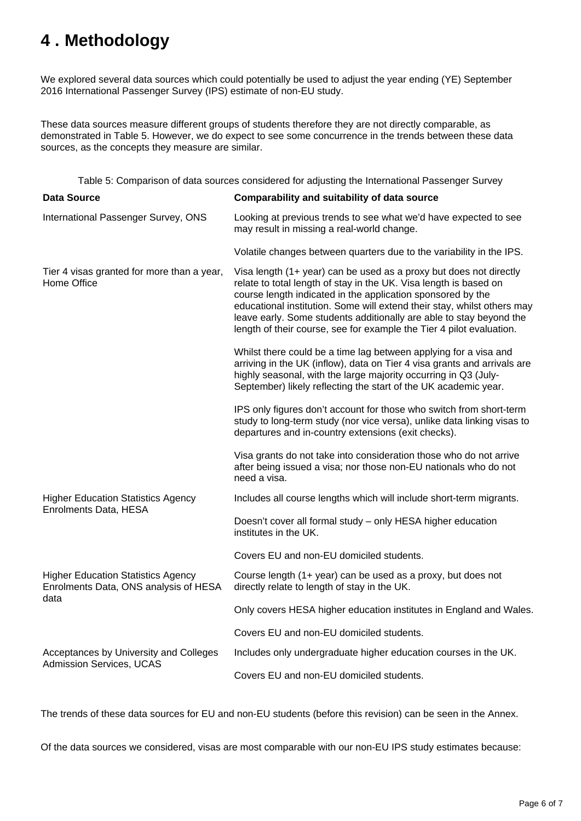# <span id="page-5-0"></span>**4 . Methodology**

We explored several data sources which could potentially be used to adjust the year ending (YE) September 2016 International Passenger Survey (IPS) estimate of non-EU study.

These data sources measure different groups of students therefore they are not directly comparable, as demonstrated in Table 5. However, we do expect to see some concurrence in the trends between these data sources, as the concepts they measure are similar.

Table 5: Comparison of data sources considered for adjusting the International Passenger Survey

| <b>Data Source</b>                                                                         | Comparability and suitability of data source                                                                                                                                                                                                                                                                                                                                                                                     |
|--------------------------------------------------------------------------------------------|----------------------------------------------------------------------------------------------------------------------------------------------------------------------------------------------------------------------------------------------------------------------------------------------------------------------------------------------------------------------------------------------------------------------------------|
| International Passenger Survey, ONS                                                        | Looking at previous trends to see what we'd have expected to see<br>may result in missing a real-world change.                                                                                                                                                                                                                                                                                                                   |
|                                                                                            | Volatile changes between quarters due to the variability in the IPS.                                                                                                                                                                                                                                                                                                                                                             |
| Tier 4 visas granted for more than a year,<br>Home Office                                  | Visa length (1+ year) can be used as a proxy but does not directly<br>relate to total length of stay in the UK. Visa length is based on<br>course length indicated in the application sponsored by the<br>educational institution. Some will extend their stay, whilst others may<br>leave early. Some students additionally are able to stay beyond the<br>length of their course, see for example the Tier 4 pilot evaluation. |
|                                                                                            | Whilst there could be a time lag between applying for a visa and<br>arriving in the UK (inflow), data on Tier 4 visa grants and arrivals are<br>highly seasonal, with the large majority occurring in Q3 (July-<br>September) likely reflecting the start of the UK academic year.                                                                                                                                               |
|                                                                                            | IPS only figures don't account for those who switch from short-term<br>study to long-term study (nor vice versa), unlike data linking visas to<br>departures and in-country extensions (exit checks).                                                                                                                                                                                                                            |
|                                                                                            | Visa grants do not take into consideration those who do not arrive<br>after being issued a visa; nor those non-EU nationals who do not<br>need a visa.                                                                                                                                                                                                                                                                           |
| <b>Higher Education Statistics Agency</b><br>Enrolments Data, HESA                         | Includes all course lengths which will include short-term migrants.                                                                                                                                                                                                                                                                                                                                                              |
|                                                                                            | Doesn't cover all formal study - only HESA higher education<br>institutes in the UK.                                                                                                                                                                                                                                                                                                                                             |
|                                                                                            | Covers EU and non-EU domiciled students.                                                                                                                                                                                                                                                                                                                                                                                         |
| <b>Higher Education Statistics Agency</b><br>Enrolments Data, ONS analysis of HESA<br>data | Course length (1+ year) can be used as a proxy, but does not<br>directly relate to length of stay in the UK.                                                                                                                                                                                                                                                                                                                     |
|                                                                                            | Only covers HESA higher education institutes in England and Wales.                                                                                                                                                                                                                                                                                                                                                               |
|                                                                                            | Covers EU and non-EU domiciled students.                                                                                                                                                                                                                                                                                                                                                                                         |
| Acceptances by University and Colleges<br>Admission Services, UCAS                         | Includes only undergraduate higher education courses in the UK.                                                                                                                                                                                                                                                                                                                                                                  |
|                                                                                            | Covers EU and non-EU domiciled students.                                                                                                                                                                                                                                                                                                                                                                                         |
|                                                                                            |                                                                                                                                                                                                                                                                                                                                                                                                                                  |

The trends of these data sources for EU and non-EU students (before this revision) can be seen in the Annex.

Of the data sources we considered, visas are most comparable with our non-EU IPS study estimates because: